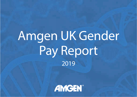# Amgen UK Gender Pay Report 2019

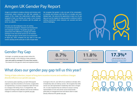### Amgen UK Gender Pay Report

Amgen is committed to creating a diverse and inclusive work environment where everyone can fulfil their potential. In support of this, Amgen has implemented a global strategy designed to foster our diversity and create a more inclusive workforce that reflects and connects with the people we serve, our patients.

We have over 550 employees in the UK working in Commercial Operations, Research and Development and Corporate Functions. The gender pay gap is an assessment of the difference in average and median earnings of men and women across our UK business. The gender pay gap is not the same as an assessment of equal pay, which compares the pay rates of men and women carrying out the same job or work of equal value.

We recognise that gender is only one part of the conversation on diversity and inclusion and that this is a complex and much debated topic. We welcome the opportunity to report our UK pay data and use the insights the data provides to continue to build a working environment where everyone can succeed and feel <sup>a</sup> sense of belonging.



#### Gender Pay Gap

At Amgen, our gender pay gap remains below the national average. In the snapshot of data analysed, **men were paid on average 8.7% more than women**. The reasons for this gap are varied and explained below. Amgen Mean Pay Gap **8.7%**

Amgen Median Pay Gap **11.8%**

**17.3%\*** National Median Pay Gap *\*ONS, Annual Survey of Hours and Earnings October 2019*

#### What does our gender pay gap tell us this year?

#### Timing of data collection, impact of long-term incentive income and workforce changes directly influence our gender pay gap.

As in previous years reporting, our April 2019 payroll captures Long Term Incentive (LTI) income. In April 2019, we reported less LTI income compared to April 2018 due to a change in the timing of our LTI programmes. We expect the timing of data collection and normal workforce changes to continue to impact our gender pay gap.

At Amgen in the UK, over 60% of our workforce is female, 55% of leadership roles are held by women. We recognise that while women are well represented in leadership roles here in Amgen UK, it is also important that we continue to ensure a strong representation of men and women across all job levels – particularly at management level and above which in itself, directly influences the gender pay gap.

WA MA MA MA